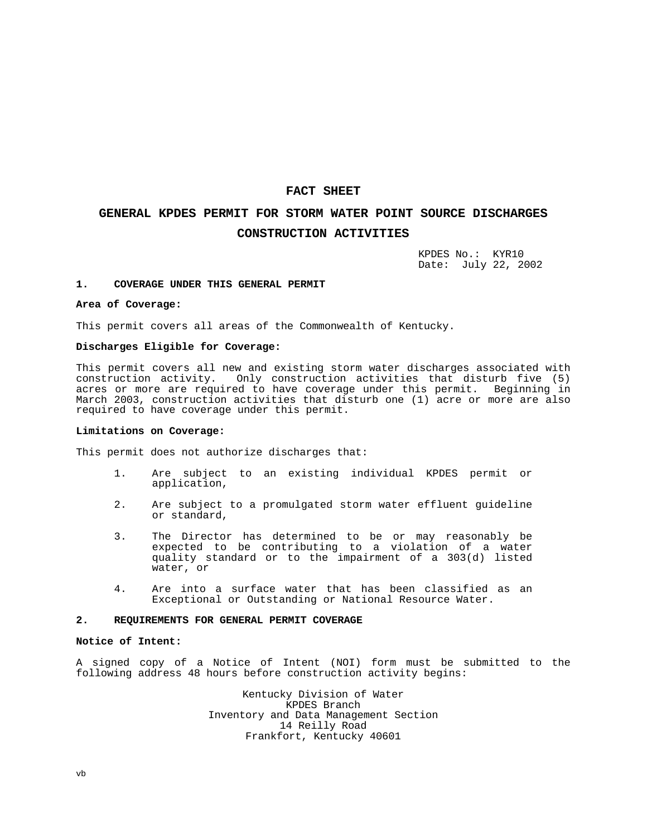# **FACT SHEET**

# **GENERAL KPDES PERMIT FOR STORM WATER POINT SOURCE DISCHARGES CONSTRUCTION ACTIVITIES**

KPDES No.: KYR10 Date: July 22, 2002

#### **1. COVERAGE UNDER THIS GENERAL PERMIT**

#### **Area of Coverage:**

This permit covers all areas of the Commonwealth of Kentucky.

### **Discharges Eligible for Coverage:**

This permit covers all new and existing storm water discharges associated with construction activity. Only construction activities that disturb five (5) acres or more are required to have coverage under this permit. Beginning in March 2003, construction activities that disturb one (1) acre or more are also required to have coverage under this permit.

### **Limitations on Coverage:**

This permit does not authorize discharges that:

- 1. Are subject to an existing individual KPDES permit or application,
- 2. Are subject to a promulgated storm water effluent guideline or standard,
- 3. The Director has determined to be or may reasonably be expected to be contributing to a violation of a water quality standard or to the impairment of a 303(d) listed water, or
- 4. Are into a surface water that has been classified as an Exceptional or Outstanding or National Resource Water.

### **2. REQUIREMENTS FOR GENERAL PERMIT COVERAGE**

#### **Notice of Intent:**

A signed copy of a Notice of Intent (NOI) form must be submitted to the following address 48 hours before construction activity begins:

> Kentucky Division of Water KPDES Branch Inventory and Data Management Section 14 Reilly Road Frankfort, Kentucky 40601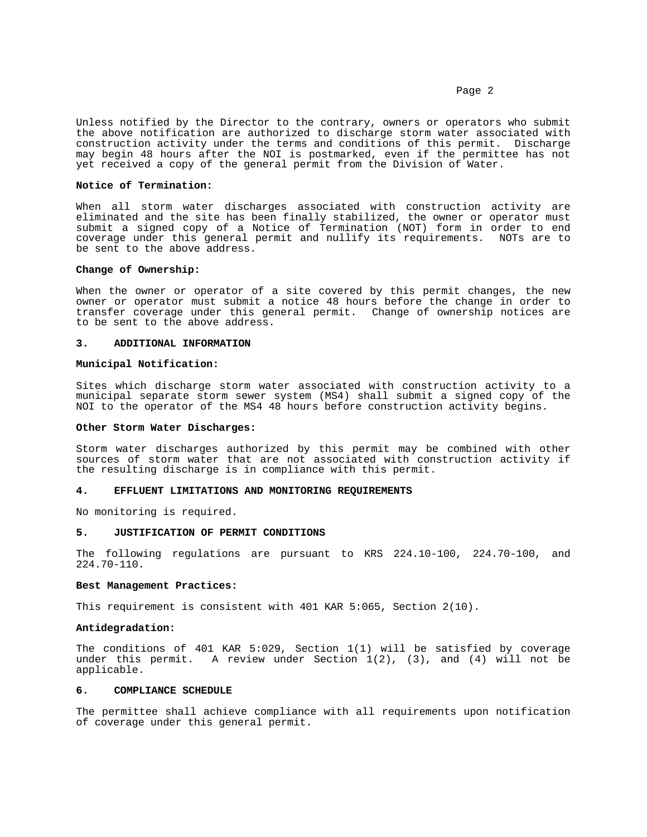Page 2

Unless notified by the Director to the contrary, owners or operators who submit the above notification are authorized to discharge storm water associated with construction activity under the terms and conditions of this permit. Discharge may begin 48 hours after the NOI is postmarked, even if the permittee has not yet received a copy of the general permit from the Division of Water.

### **Notice of Termination:**

When all storm water discharges associated with construction activity are eliminated and the site has been finally stabilized, the owner or operator must submit a signed copy of a Notice of Termination (NOT) form in order to end coverage under this general permit and nullify its requirements. NOTs are to be sent to the above address.

### **Change of Ownership:**

When the owner or operator of a site covered by this permit changes, the new owner or operator must submit a notice 48 hours before the change in order to transfer coverage under this general permit. Change of ownership notices are to be sent to the above address.

### **3. ADDITIONAL INFORMATION**

## **Municipal Notification:**

Sites which discharge storm water associated with construction activity to a municipal separate storm sewer system (MS4) shall submit a signed copy of the NOI to the operator of the MS4 48 hours before construction activity begins.

#### **Other Storm Water Discharges:**

Storm water discharges authorized by this permit may be combined with other sources of storm water that are not associated with construction activity if the resulting discharge is in compliance with this permit.

#### **4. EFFLUENT LIMITATIONS AND MONITORING REQUIREMENTS**

No monitoring is required.

#### **5. JUSTIFICATION OF PERMIT CONDITIONS**

The following regulations are pursuant to KRS 224.10-100, 224.70-100, and 224.70-110.

### **Best Management Practices:**

This requirement is consistent with 401 KAR 5:065, Section 2(10).

# **Antidegradation:**

The conditions of 401 KAR 5:029, Section 1(1) will be satisfied by coverage under this permit. A review under Section  $1(2)$ ,  $(3)$ , and  $(4)$  will not be applicable.

### **6. COMPLIANCE SCHEDULE**

The permittee shall achieve compliance with all requirements upon notification of coverage under this general permit.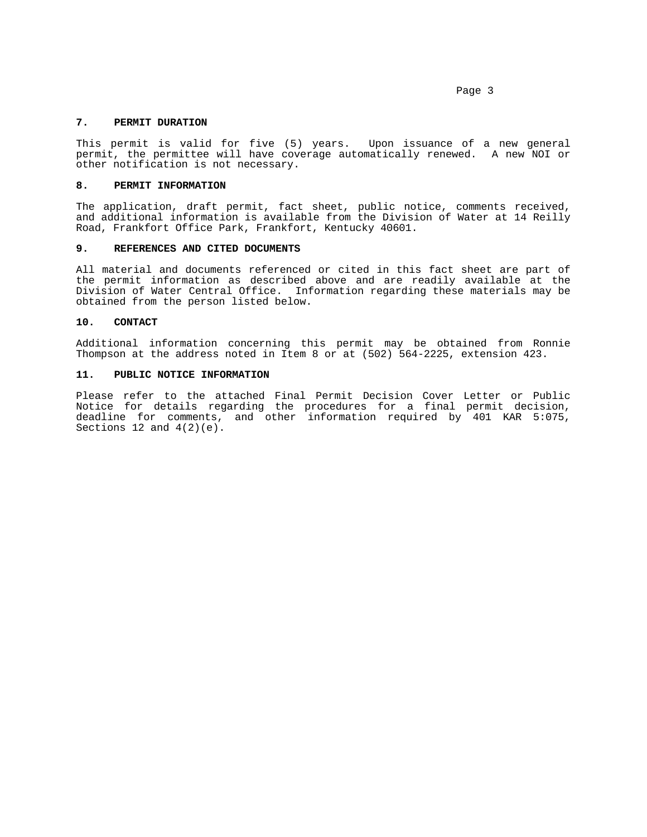Page 3

# **7. PERMIT DURATION**

This permit is valid for five (5) years. Upon issuance of a new general permit, the permittee will have coverage automatically renewed. A new NOI or other notification is not necessary.

# **8. PERMIT INFORMATION**

The application, draft permit, fact sheet, public notice, comments received, and additional information is available from the Division of Water at 14 Reilly Road, Frankfort Office Park, Frankfort, Kentucky 40601.

### **9. REFERENCES AND CITED DOCUMENTS**

All material and documents referenced or cited in this fact sheet are part of the permit information as described above and are readily available at the Division of Water Central Office. Information regarding these materials may be obtained from the person listed below.

#### **10. CONTACT**

Additional information concerning this permit may be obtained from Ronnie Thompson at the address noted in Item 8 or at (502) 564-2225, extension 423.

### **11. PUBLIC NOTICE INFORMATION**

Please refer to the attached Final Permit Decision Cover Letter or Public Notice for details regarding the procedures for a final permit decision, deadline for comments, and other information required by 401 KAR 5:075, Sections 12 and  $4(2)(e)$ .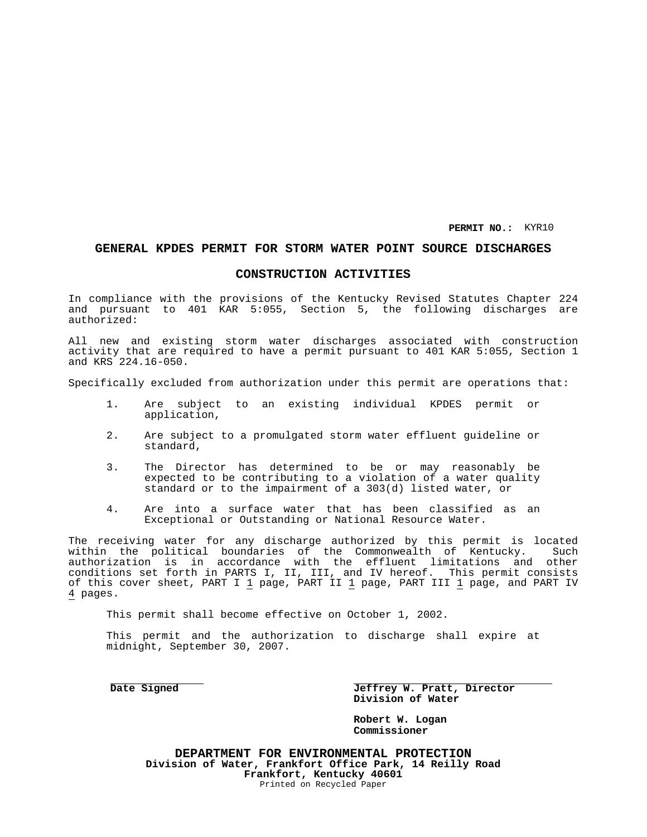**PERMIT NO.:** KYR10

# **GENERAL KPDES PERMIT FOR STORM WATER POINT SOURCE DISCHARGES**

# **CONSTRUCTION ACTIVITIES**

In compliance with the provisions of the Kentucky Revised Statutes Chapter 224 and pursuant to 401 KAR 5:055, Section 5, the following discharges are authorized:

All new and existing storm water discharges associated with construction activity that are required to have a permit pursuant to 401 KAR 5:055, Section 1 and KRS 224.16-050.

Specifically excluded from authorization under this permit are operations that:

- 1. Are subject to an existing individual KPDES permit or application,
- 2. Are subject to a promulgated storm water effluent guideline or standard,
- 3. The Director has determined to be or may reasonably be expected to be contributing to a violation of a water quality standard or to the impairment of a 303(d) listed water, or
- 4. Are into a surface water that has been classified as an Exceptional or Outstanding or National Resource Water.

The receiving water for any discharge authorized by this permit is located within the political boundaries of the Commonwealth of Kentucky. Such authorization is in accordance with the effluent limitations and other conditions set forth in PARTS I, II, III, and IV hereof. This permit consists of this cover sheet, PART I 1 page, PART II 1 page, PART III 1 page, and PART IV 4 pages.

This permit shall become effective on October 1, 2002.

This permit and the authorization to discharge shall expire at midnight, September 30, 2007.

**Date Signed Jeffrey W. Pratt, Director Division of Water**

> **Robert W. Logan Commissioner**

**DEPARTMENT FOR ENVIRONMENTAL PROTECTION Division of Water, Frankfort Office Park, 14 Reilly Road Frankfort, Kentucky 40601** Printed on Recycled Paper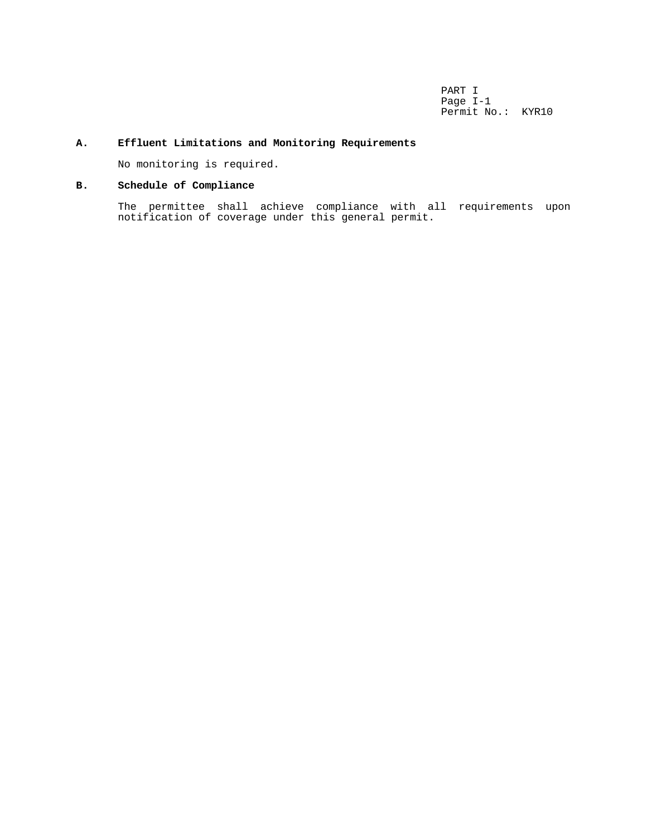PART I Page I-1 Permit No.: KYR10

# **A. Effluent Limitations and Monitoring Requirements**

No monitoring is required.

# **B. Schedule of Compliance**

The permittee shall achieve compliance with all requirements upon notification of coverage under this general permit.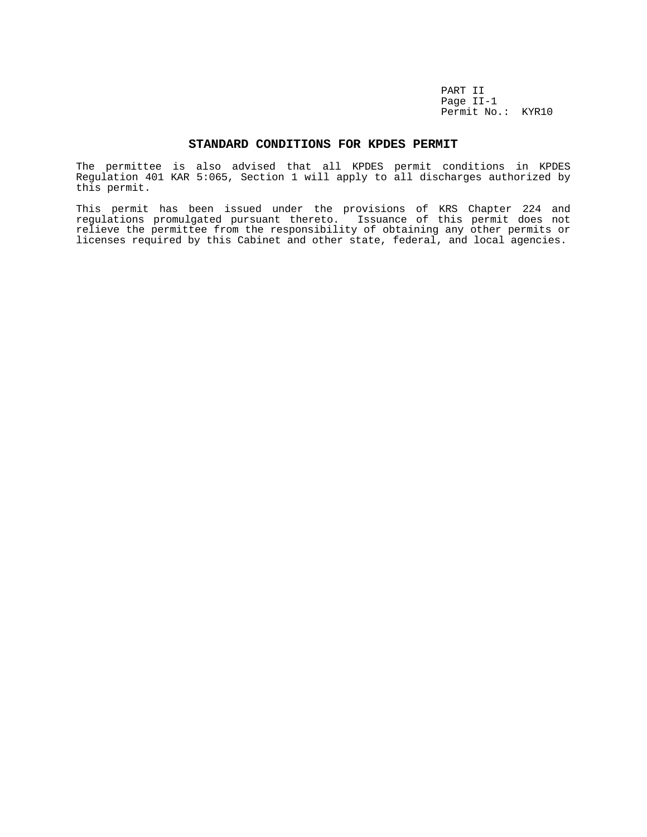PART II Page II-1 Permit No.: KYR10

### **STANDARD CONDITIONS FOR KPDES PERMIT**

The permittee is also advised that all KPDES permit conditions in KPDES Regulation 401 KAR 5:065, Section 1 will apply to all discharges authorized by this permit.

This permit has been issued under the provisions of KRS Chapter 224 and regulations promulgated pursuant thereto. Issuance of this permit does not relieve the permittee from the responsibility of obtaining any other permits or licenses required by this Cabinet and other state, federal, and local agencies.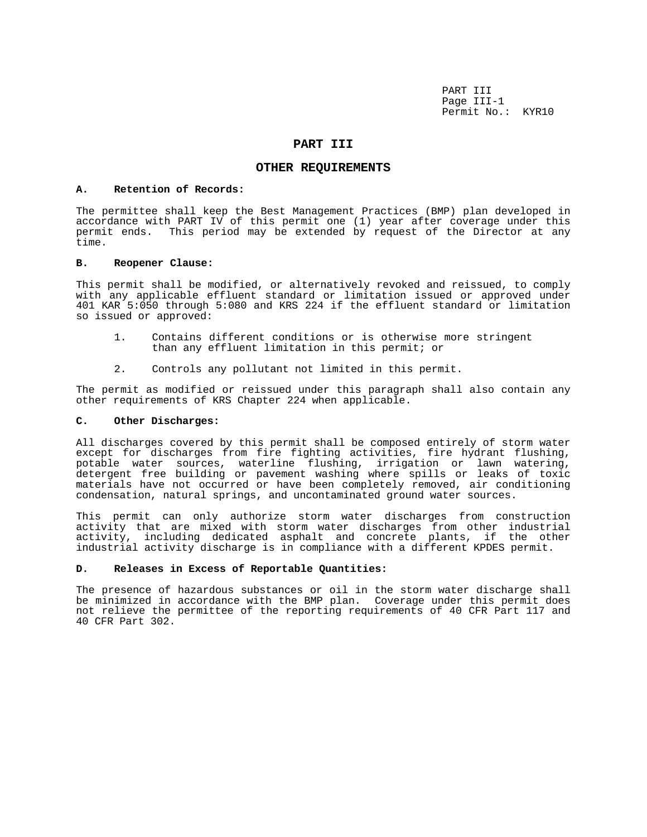PART III Page III-1 Permit No.: KYR10

# **PART III**

## **OTHER REQUIREMENTS**

### **A. Retention of Records:**

The permittee shall keep the Best Management Practices (BMP) plan developed in accordance with PART IV of this permit one (1) year after coverage under this permit ends. This period may be extended by request of the Director at any time.

### **B. Reopener Clause:**

This permit shall be modified, or alternatively revoked and reissued, to comply with any applicable effluent standard or limitation issued or approved under 401 KAR 5:050 through 5:080 and KRS 224 if the effluent standard or limitation so issued or approved:

- 1. Contains different conditions or is otherwise more stringent than any effluent limitation in this permit; or
- 2. Controls any pollutant not limited in this permit.

The permit as modified or reissued under this paragraph shall also contain any other requirements of KRS Chapter 224 when applicable.

### **C. Other Discharges:**

All discharges covered by this permit shall be composed entirely of storm water except for discharges from fire fighting activities, fire hydrant flushing, potable water sources, waterline flushing, irrigation or lawn watering, detergent free building or pavement washing where spills or leaks of toxic materials have not occurred or have been completely removed, air conditioning condensation, natural springs, and uncontaminated ground water sources.

This permit can only authorize storm water discharges from construction activity that are mixed with storm water discharges from other industrial activity, including dedicated asphalt and concrete plants, if the other industrial activity discharge is in compliance with a different KPDES permit.

### **D. Releases in Excess of Reportable Quantities:**

The presence of hazardous substances or oil in the storm water discharge shall be minimized in accordance with the BMP plan. Coverage under this permit does not relieve the permittee of the reporting requirements of 40 CFR Part 117 and 40 CFR Part 302.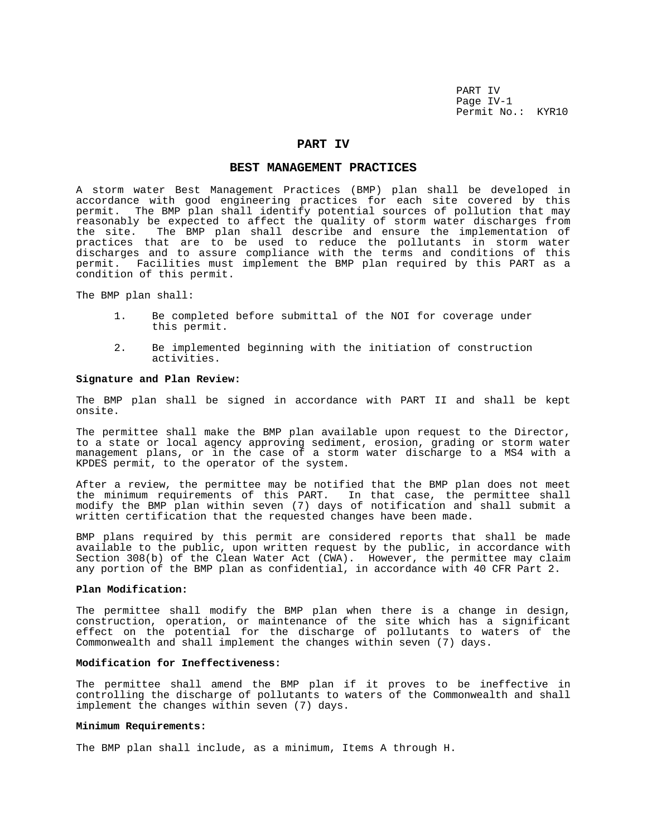PART IV Page IV-1 Permit No.: KYR10

### **PART IV**

### **BEST MANAGEMENT PRACTICES**

A storm water Best Management Practices (BMP) plan shall be developed in accordance with good engineering practices for each site covered by this permit. The BMP plan shall identify potential sources of pollution that may reasonably be expected to affect the quality of storm water discharges from<br>the site. The BMP plan shall describe and ensure the implementation of The BMP plan shall describe and ensure the implementation of practices that are to be used to reduce the pollutants in storm water discharges and to assure compliance with the terms and conditions of this permit. Facilities must implement the BMP plan required by this PART as a condition of this permit.

The BMP plan shall:

- 1. Be completed before submittal of the NOI for coverage under this permit.
- 2. Be implemented beginning with the initiation of construction activities.

#### **Signature and Plan Review:**

The BMP plan shall be signed in accordance with PART II and shall be kept onsite.

The permittee shall make the BMP plan available upon request to the Director, to a state or local agency approving sediment, erosion, grading or storm water management plans, or in the case of a storm water discharge to a MS4 with a KPDES permit, to the operator of the system.

After a review, the permittee may be notified that the BMP plan does not meet the minimum requirements of this PART. In that case, the permittee shall modify the BMP plan within seven (7) days of notification and shall submit a written certification that the requested changes have been made.

BMP plans required by this permit are considered reports that shall be made available to the public, upon written request by the public, in accordance with Section 308(b) of the Clean Water Act (CWA). However, the permittee may claim any portion of the BMP plan as confidential, in accordance with 40 CFR Part 2.

### **Plan Modification:**

The permittee shall modify the BMP plan when there is a change in design, construction, operation, or maintenance of the site which has a significant effect on the potential for the discharge of pollutants to waters of the Commonwealth and shall implement the changes within seven (7) days.

### **Modification for Ineffectiveness:**

The permittee shall amend the BMP plan if it proves to be ineffective in controlling the discharge of pollutants to waters of the Commonwealth and shall implement the changes within seven (7) days.

#### **Minimum Requirements:**

The BMP plan shall include, as a minimum, Items A through H.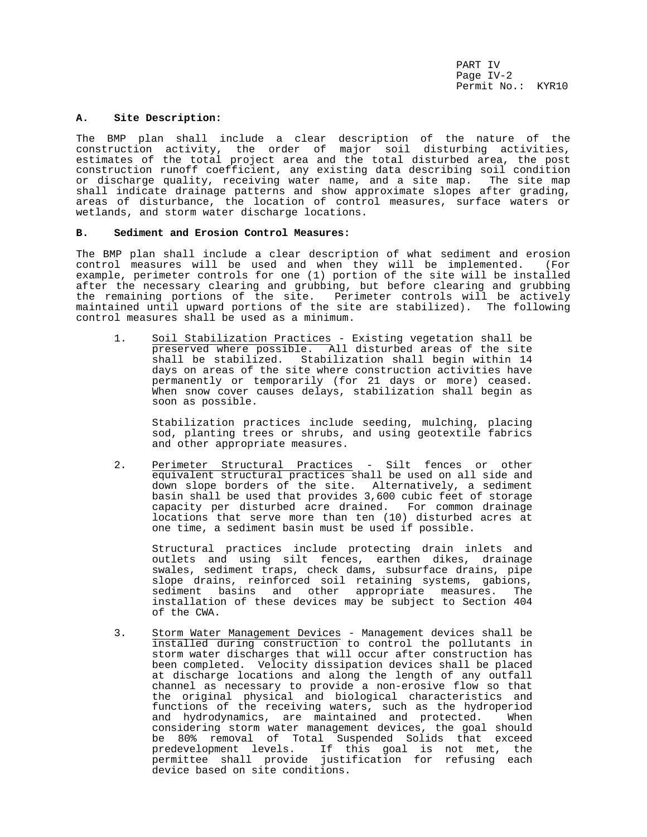PART IV Page IV-2 Permit No.: KYR10

### **A. Site Description:**

The BMP plan shall include a clear description of the nature of the construction activity, the order of major soil disturbing activities, estimates of the total project area and the total disturbed area, the post construction runoff coefficient, any existing data describing soil condition or discharge quality, receiving water name, and a site map. The site map shall indicate drainage patterns and show approximate slopes after grading, areas of disturbance, the location of control measures, surface waters or wetlands, and storm water discharge locations.

## **B. Sediment and Erosion Control Measures:**

The BMP plan shall include a clear description of what sediment and erosion control measures will be used and when they will be implemented. (For example, perimeter controls for one (1) portion of the site will be installed after the necessary clearing and grubbing, but before clearing and grubbing the remaining portions of the site. Perimeter controls will be actively maintained until upward portions of the site are stabilized). The following control measures shall be used as a minimum.

1. Soil Stabilization Practices - Existing vegetation shall be preserved where possible. All disturbed areas of the site shall be stabilized. Stabilization shall begin within 14 days on areas of the site where construction activities have permanently or temporarily (for 21 days or more) ceased. When snow cover causes delays, stabilization shall begin as soon as possible.

Stabilization practices include seeding, mulching, placing sod, planting trees or shrubs, and using geotextile fabrics and other appropriate measures.

2. Perimeter Structural Practices - Silt fences or other equivalent structural practices shall be used on all side and down slope borders of the site. Alternatively, a sediment basin shall be used that provides 3,600 cubic feet of storage capacity per disturbed acre drained. For common drainage locations that serve more than ten (10) disturbed acres at one time, a sediment basin must be used if possible.

Structural practices include protecting drain inlets and outlets and using silt fences, earthen dikes, drainage swales, sediment traps, check dams, subsurface drains, pipe slope drains, reinforced soil retaining systems, gabions, sediment basins and other appropriate measures. The installation of these devices may be subject to Section 404 of the CWA.

3. Storm Water Management Devices - Management devices shall be installed during construction to control the pollutants in storm water discharges that will occur after construction has been completed. Velocity dissipation devices shall be placed at discharge locations and along the length of any outfall channel as necessary to provide a non-erosive flow so that the original physical and biological characteristics and functions of the receiving waters, such as the hydroperiod and hydrodynamics, are maintained and protected. When considering storm water management devices, the goal should be 80% removal of Total Suspended Solids that exceed predevelopment levels. If this goal is not met, the permittee shall provide justification for refusing each device based on site conditions.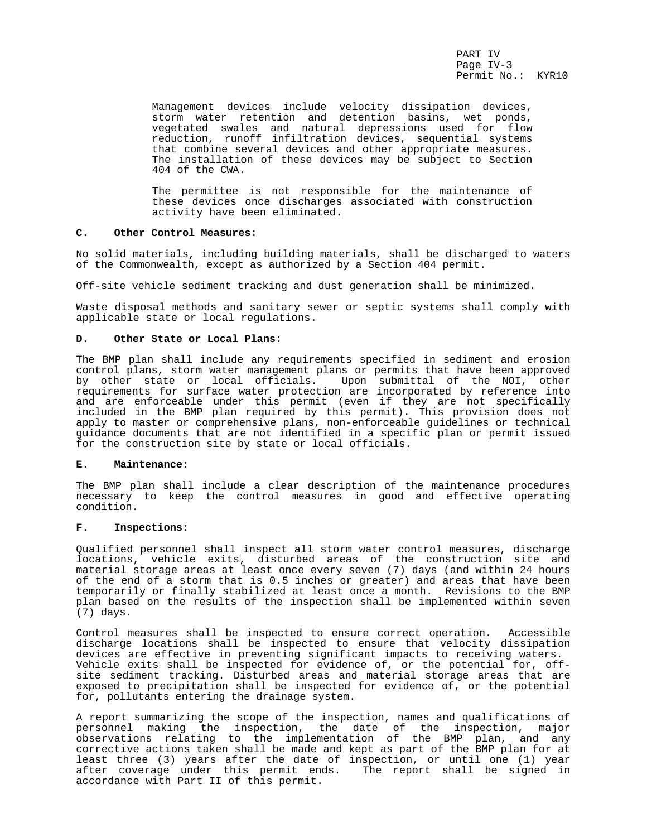PART IV Page IV-3 Permit No.: KYR10

Management devices include velocity dissipation devices, storm water retention and detention basins, wet ponds, vegetated swales and natural depressions used for flow reduction, runoff infiltration devices, sequential systems that combine several devices and other appropriate measures. The installation of these devices may be subject to Section 404 of the CWA.

The permittee is not responsible for the maintenance of these devices once discharges associated with construction activity have been eliminated.

# **C. Other Control Measures:**

No solid materials, including building materials, shall be discharged to waters of the Commonwealth, except as authorized by a Section 404 permit.

Off-site vehicle sediment tracking and dust generation shall be minimized.

Waste disposal methods and sanitary sewer or septic systems shall comply with applicable state or local regulations.

### **D. Other State or Local Plans:**

The BMP plan shall include any requirements specified in sediment and erosion control plans, storm water management plans or permits that have been approved by other state or local officials. Upon submittal of the NOI, other requirements for surface water protection are incorporated by reference into and are enforceable under this permit (even if they are not specifically included in the BMP plan required by this permit). This provision does not apply to master or comprehensive plans, non-enforceable guidelines or technical guidance documents that are not identified in a specific plan or permit issued for the construction site by state or local officials.

## **E. Maintenance:**

The BMP plan shall include a clear description of the maintenance procedures necessary to keep the control measures in good and effective operating condition.

# **F. Inspections:**

Qualified personnel shall inspect all storm water control measures, discharge locations, vehicle exits, disturbed areas of the construction site and material storage areas at least once every seven (7) days (and within 24 hours of the end of a storm that is 0.5 inches or greater) and areas that have been temporarily or finally stabilized at least once a month. Revisions to the BMP plan based on the results of the inspection shall be implemented within seven (7) days.

Control measures shall be inspected to ensure correct operation. Accessible discharge locations shall be inspected to ensure that velocity dissipation devices are effective in preventing significant impacts to receiving waters. Vehicle exits shall be inspected for evidence of, or the potential for, offsite sediment tracking. Disturbed areas and material storage areas that are exposed to precipitation shall be inspected for evidence of, or the potential for, pollutants entering the drainage system.

A report summarizing the scope of the inspection, names and qualifications of personnel making the inspection, the date of the inspection, major observations relating to the implementation of the BMP plan, and any corrective actions taken shall be made and kept as part of the BMP plan for at least three (3) years after the date of inspection, or until one (1) year after coverage under this permit ends. The report shall be signed in accordance with Part II of this permit.